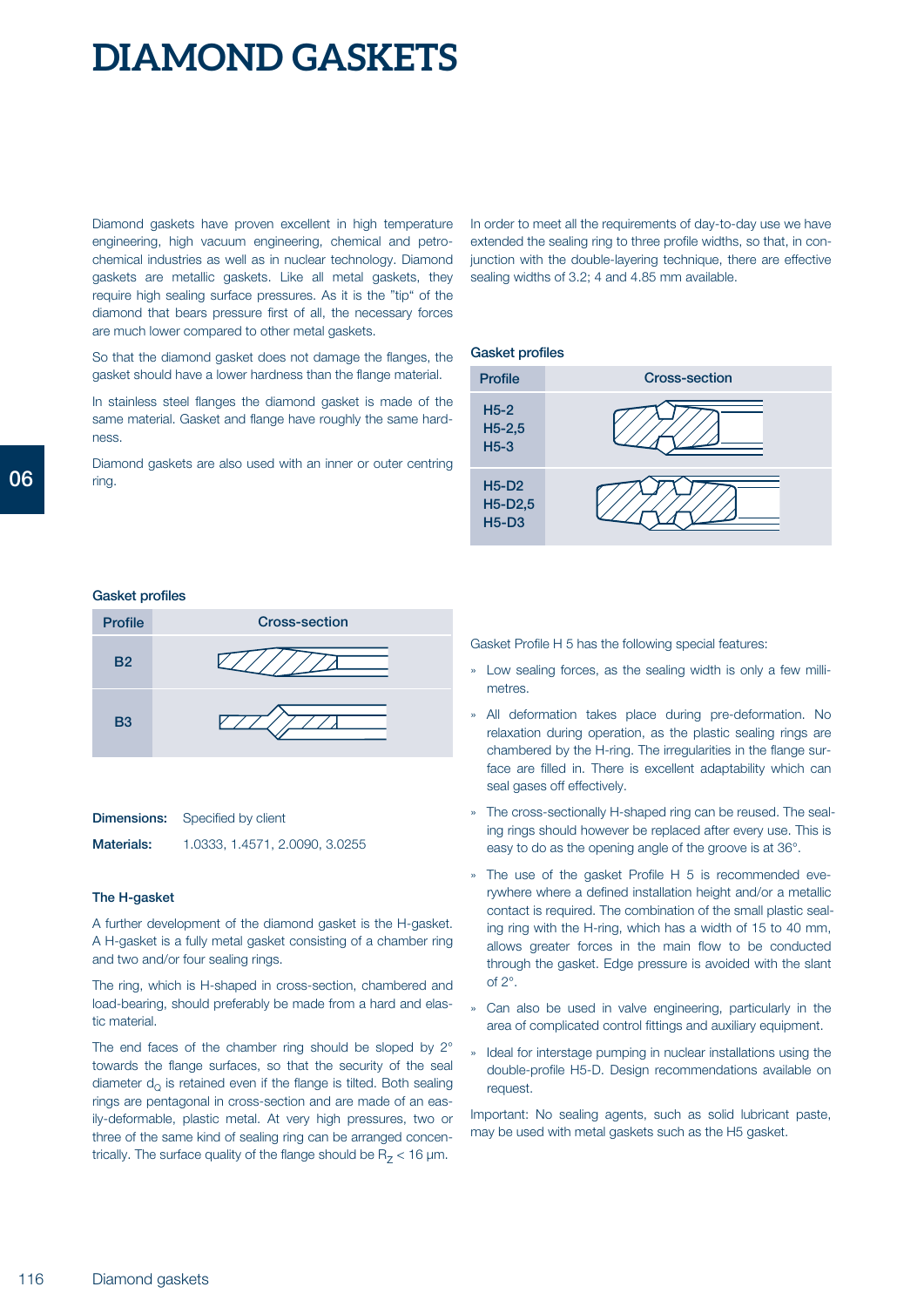# **DIAMOND GASKETS**

Diamond gaskets have proven excellent in high temperature engineering, high vacuum engineering, chemical and petrochemical industries as well as in nuclear technology. Diamond gaskets are metallic gaskets. Like all metal gaskets, they require high sealing surface pressures. As it is the "tip" of the diamond that bears pressure first of all, the necessary forces are much lower compared to other metal gaskets.

So that the diamond gasket does not damage the flanges, the gasket should have a lower hardness than the flange material.

In stainless steel flanges the diamond gasket is made of the same material. Gasket and flange have roughly the same hardness.

Diamond gaskets are also used with an inner or outer centring ring.

In order to meet all the requirements of day-to-day use we have extended the sealing ring to three profile widths, so that, in conjunction with the double-layering technique, there are effective sealing widths of 3.2; 4 and 4.85 mm available.

#### **Gasket profiles**



#### **Gasket profiles**



| Dimensions: | Specified by client |
|-------------|---------------------|
|             |                     |

**Materials:** 1.0333, 1.4571, 2.0090, 3.0255

### **The H-gasket**

A further development of the diamond gasket is the H-gasket. A H-gasket is a fully metal gasket consisting of a chamber ring and two and/or four sealing rings.

The ring, which is H-shaped in cross-section, chambered and load-bearing, should preferably be made from a hard and elastic material.

The end faces of the chamber ring should be sloped by 2° towards the flange surfaces, so that the security of the seal diameter  $d_{\Omega}$  is retained even if the flange is tilted. Both sealing rings are pentagonal in cross-section and are made of an easily-deformable, plastic metal. At very high pressures, two or three of the same kind of sealing ring can be arranged concentrically. The surface quality of the flange should be  $R<sub>7</sub> < 16$  µm.

Gasket Profile H 5 has the following special features:

- » Low sealing forces, as the sealing width is only a few millimetres.
- » All deformation takes place during pre-deformation. No relaxation during operation, as the plastic sealing rings are chambered by the H-ring. The irregularities in the flange surface are filled in. There is excellent adaptability which can seal gases off effectively.
- » The cross-sectionally H-shaped ring can be reused. The sealing rings should however be replaced after every use. This is easy to do as the opening angle of the groove is at 36°.
- » The use of the gasket Profile H 5 is recommended everywhere where a defined installation height and/or a metallic contact is required. The combination of the small plastic sealing ring with the H-ring, which has a width of 15 to 40 mm, allows greater forces in the main flow to be conducted through the gasket. Edge pressure is avoided with the slant of 2°.
- » Can also be used in valve engineering, particularly in the area of complicated control fittings and auxiliary equipment.
- » Ideal for interstage pumping in nuclear installations using the double-profile H5-D. Design recommendations available on request.

Important: No sealing agents, such as solid lubricant paste, may be used with metal gaskets such as the H5 gasket.